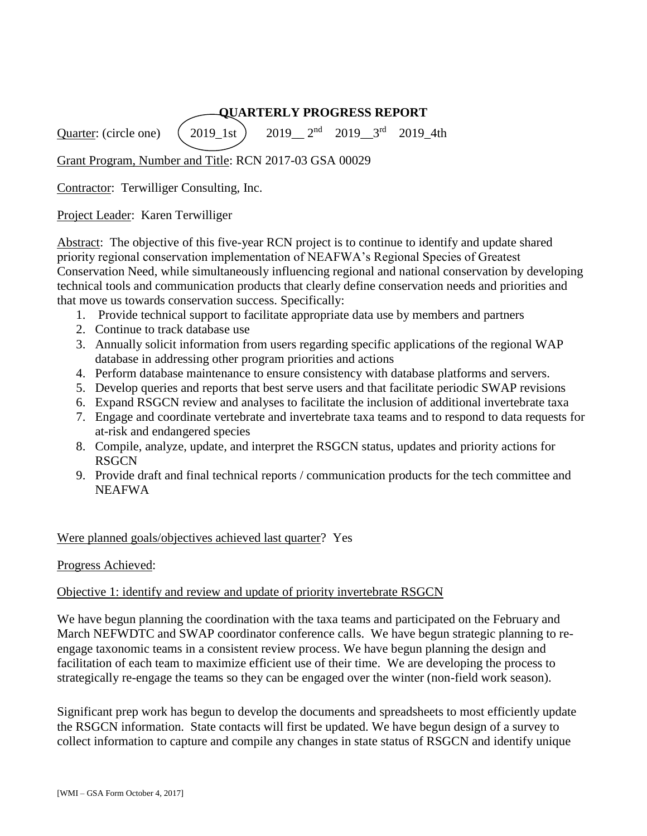### **QUARTERLY PROGRESS REPORT**

Quarter: (circle one)  $\left(2019\right)$  1st  $2019 - 3$ <sup>rd</sup> 2019\_4th

Grant Program, Number and Title: RCN 2017-03 GSA 00029

Contractor: Terwilliger Consulting, Inc.

Project Leader: Karen Terwilliger

Abstract: The objective of this five-year RCN project is to continue to identify and update shared priority regional conservation implementation of NEAFWA's Regional Species of Greatest Conservation Need, while simultaneously influencing regional and national conservation by developing technical tools and communication products that clearly define conservation needs and priorities and that move us towards conservation success. Specifically:

- 1. Provide technical support to facilitate appropriate data use by members and partners
- 2. Continue to track database use
- 3. Annually solicit information from users regarding specific applications of the regional WAP database in addressing other program priorities and actions
- 4. Perform database maintenance to ensure consistency with database platforms and servers.
- 5. Develop queries and reports that best serve users and that facilitate periodic SWAP revisions
- 6. Expand RSGCN review and analyses to facilitate the inclusion of additional invertebrate taxa
- 7. Engage and coordinate vertebrate and invertebrate taxa teams and to respond to data requests for at-risk and endangered species
- 8. Compile, analyze, update, and interpret the RSGCN status, updates and priority actions for **RSGCN**
- 9. Provide draft and final technical reports / communication products for the tech committee and NEAFWA

#### Were planned goals/objectives achieved last quarter? Yes

#### Progress Achieved:

#### Objective 1: identify and review and update of priority invertebrate RSGCN

We have begun planning the coordination with the taxa teams and participated on the February and March NEFWDTC and SWAP coordinator conference calls. We have begun strategic planning to reengage taxonomic teams in a consistent review process. We have begun planning the design and facilitation of each team to maximize efficient use of their time. We are developing the process to strategically re-engage the teams so they can be engaged over the winter (non-field work season).

Significant prep work has begun to develop the documents and spreadsheets to most efficiently update the RSGCN information. State contacts will first be updated. We have begun design of a survey to collect information to capture and compile any changes in state status of RSGCN and identify unique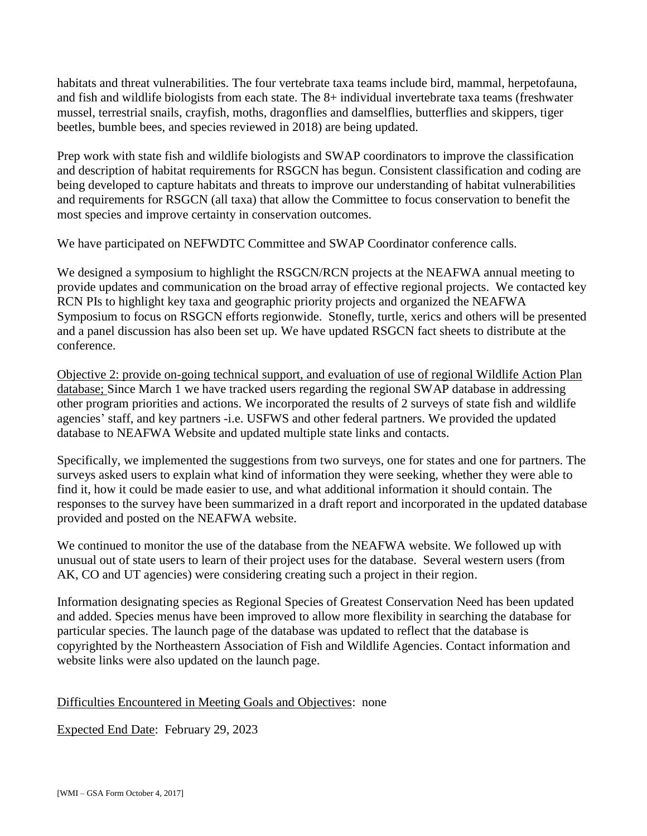habitats and threat vulnerabilities. The four vertebrate taxa teams include bird, mammal, herpetofauna, and fish and wildlife biologists from each state. The 8+ individual invertebrate taxa teams (freshwater mussel, terrestrial snails, crayfish, moths, dragonflies and damselflies, butterflies and skippers, tiger beetles, bumble bees, and species reviewed in 2018) are being updated.

Prep work with state fish and wildlife biologists and SWAP coordinators to improve the classification and description of habitat requirements for RSGCN has begun. Consistent classification and coding are being developed to capture habitats and threats to improve our understanding of habitat vulnerabilities and requirements for RSGCN (all taxa) that allow the Committee to focus conservation to benefit the most species and improve certainty in conservation outcomes.

We have participated on NEFWDTC Committee and SWAP Coordinator conference calls.

We designed a symposium to highlight the RSGCN/RCN projects at the NEAFWA annual meeting to provide updates and communication on the broad array of effective regional projects. We contacted key RCN PIs to highlight key taxa and geographic priority projects and organized the NEAFWA Symposium to focus on RSGCN efforts regionwide. Stonefly, turtle, xerics and others will be presented and a panel discussion has also been set up. We have updated RSGCN fact sheets to distribute at the conference.

Objective 2: provide on-going technical support, and evaluation of use of regional Wildlife Action Plan database; Since March 1 we have tracked users regarding the regional SWAP database in addressing other program priorities and actions. We incorporated the results of 2 surveys of state fish and wildlife agencies' staff, and key partners -i.e. USFWS and other federal partners. We provided the updated database to NEAFWA Website and updated multiple state links and contacts.

Specifically, we implemented the suggestions from two surveys, one for states and one for partners. The surveys asked users to explain what kind of information they were seeking, whether they were able to find it, how it could be made easier to use, and what additional information it should contain. The responses to the survey have been summarized in a draft report and incorporated in the updated database provided and posted on the NEAFWA website.

We continued to monitor the use of the database from the NEAFWA website. We followed up with unusual out of state users to learn of their project uses for the database. Several western users (from AK, CO and UT agencies) were considering creating such a project in their region.

Information designating species as Regional Species of Greatest Conservation Need has been updated and added. Species menus have been improved to allow more flexibility in searching the database for particular species. The launch page of the database was updated to reflect that the database is copyrighted by the Northeastern Association of Fish and Wildlife Agencies. Contact information and website links were also updated on the launch page.

#### Difficulties Encountered in Meeting Goals and Objectives: none

Expected End Date: February 29, 2023